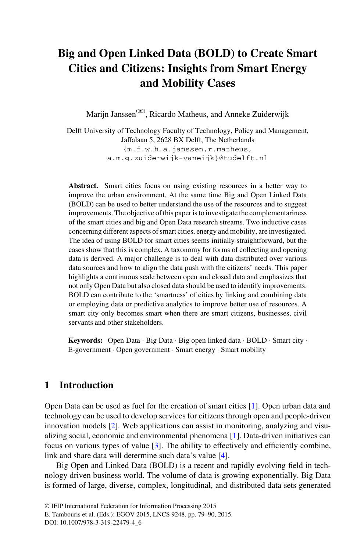# **Big and Open Linked Data (BOLD) to Create Smart Cities and Citizens: Insights from Smart Energy and Mobility Cases**

Marijn Janssen(✉) , Ricardo Matheus, and Anneke Zuiderwijk

Delft University of Technology Faculty of Technology, Policy and Management, Jaffalaan 5, 2628 BX Delft, The Netherlands {m.f.w.h.a.janssen,r.matheus, a.m.g.zuiderwijk-vaneijk}@tudelft.nl

**Abstract.** Smart cities focus on using existing resources in a better way to improve the urban environment. At the same time Big and Open Linked Data (BOLD) can be used to better understand the use of the resources and to suggest improvements. The objective of this paper is to investigate the complementariness of the smart cities and big and Open Data research streams. Two inductive cases concerning different aspects of smart cities, energy and mobility, are investigated. The idea of using BOLD for smart cities seems initially straightforward, but the cases show that this is complex. A taxonomy for forms of collecting and opening data is derived. A major challenge is to deal with data distributed over various data sources and how to align the data push with the citizens' needs. This paper highlights a continuous scale between open and closed data and emphasizes that not only Open Data but also closed data should be used to identify improvements. BOLD can contribute to the 'smartness' of cities by linking and combining data or employing data or predictive analytics to improve better use of resources. A smart city only becomes smart when there are smart citizens, businesses, civil servants and other stakeholders.

**Keywords:** Open Data · Big Data · Big open linked data · BOLD · Smart city · E-government · Open government · Smart energy · Smart mobility

# **1 Introduction**

Open Data can be used as fuel for the creation of smart cities [\[1](#page-10-0)]. Open urban data and technology can be used to develop services for citizens through open and people-driven innovation models  $[2]$  $[2]$ . Web applications can assist in monitoring, analyzing and visualizing social, economic and environmental phenomena [[1\]](#page-10-0). Data-driven initiatives can focus on various types of value [\[3\]](#page-10-0). The ability to effectively and efficiently combine, link and share data will determine such data's value [[4\]](#page-10-0).

Big Open and Linked Data (BOLD) is a recent and rapidly evolving field in tech‐ nology driven business world. The volume of data is growing exponentially. Big Data is formed of large, diverse, complex, longitudinal, and distributed data sets generated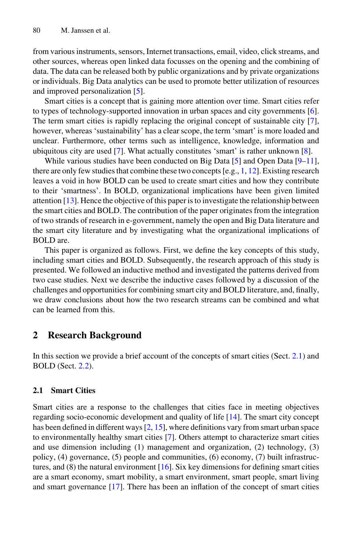from various instruments, sensors, Internet transactions, email, video, click streams, and other sources, whereas open linked data focusses on the opening and the combining of data. The data can be released both by public organizations and by private organizations or individuals. Big Data analytics can be used to promote better utilization of resources and improved personalization [\[5](#page-10-0)].

Smart cities is a concept that is gaining more attention over time. Smart cities refer to types of technology-supported innovation in urban spaces and city governments [[6\]](#page-10-0). The term smart cities is rapidly replacing the original concept of sustainable city [[7\]](#page-10-0), however, whereas 'sustainability' has a clear scope, the term 'smart' is more loaded and unclear. Furthermore, other terms such as intelligence, knowledge, information and ubiquitous city are used [[7\]](#page-10-0). What actually constitutes 'smart' is rather unknown [\[8](#page-10-0)].

While various studies have been conducted on Big Data [\[5](#page-10-0)] and Open Data [[9–11\]](#page-11-0), there are only few studies that combine these two concepts [e.g., [1,](#page-10-0) [12\]](#page-11-0). Existing research leaves a void in how BOLD can be used to create smart cities and how they contribute to their 'smartness'. In BOLD, organizational implications have been given limited attention [[13\]](#page-11-0). Hence the objective of this paper is to investigate the relationship between the smart cities and BOLD. The contribution of the paper originates from the integration of two strands of research in e-government, namely the open and Big Data literature and the smart city literature and by investigating what the organizational implications of BOLD are.

This paper is organized as follows. First, we define the key concepts of this study, including smart cities and BOLD. Subsequently, the research approach of this study is presented. We followed an inductive method and investigated the patterns derived from two case studies. Next we describe the inductive cases followed by a discussion of the challenges and opportunities for combining smart city and BOLD literature, and, finally, we draw conclusions about how the two research streams can be combined and what can be learned from this.

# **2 Research Background**

In this section we provide a brief account of the concepts of smart cities (Sect. 2.1) and BOLD (Sect. [2.2](#page-2-0)).

#### **2.1 Smart Cities**

Smart cities are a response to the challenges that cities face in meeting objectives regarding socio-economic development and quality of life [\[14](#page-11-0)]. The smart city concept has been defined in different ways [\[2](#page-10-0), [15](#page-11-0)], where definitions vary from smart urban space to environmentally healthy smart cities [[7](#page-10-0)]. Others attempt to characterize smart cities and use dimension including (1) management and organization, (2) technology, (3) policy, (4) governance, (5) people and communities, (6) economy, (7) built infrastructures, and  $(8)$  the natural environment  $[16]$  $[16]$  $[16]$ . Six key dimensions for defining smart cities are a smart economy, smart mobility, a smart environment, smart people, smart living and smart governance [[17\]](#page-11-0). There has been an inflation of the concept of smart cities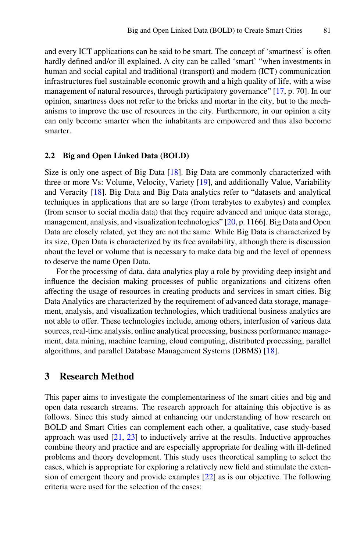<span id="page-2-0"></span>and every ICT applications can be said to be smart. The concept of 'smartness' is often hardly defined and/or ill explained. A city can be called 'smart' "when investments in human and social capital and traditional (transport) and modern (ICT) communication infrastructures fuel sustainable economic growth and a high quality of life, with a wise management of natural resources, through participatory governance" [\[17](#page-11-0), p. 70]. In our opinion, smartness does not refer to the bricks and mortar in the city, but to the mechanisms to improve the use of resources in the city. Furthermore, in our opinion a city can only become smarter when the inhabitants are empowered and thus also become smarter.

#### **2.2 Big and Open Linked Data (BOLD)**

Size is only one aspect of Big Data [\[18](#page-11-0)]. Big Data are commonly characterized with three or more Vs: Volume, Velocity, Variety [[19\]](#page-11-0), and additionally Value, Variability and Veracity [[18](#page-11-0)]. Big Data and Big Data analytics refer to "datasets and analytical techniques in applications that are so large (from terabytes to exabytes) and complex (from sensor to social media data) that they require advanced and unique data storage, management, analysis, and visualization technologies" [\[20](#page-11-0), p. 1166]. Big Data and Open Data are closely related, yet they are not the same. While Big Data is characterized by its size, Open Data is characterized by its free availability, although there is discussion about the level or volume that is necessary to make data big and the level of openness to deserve the name Open Data.

For the processing of data, data analytics play a role by providing deep insight and influence the decision making processes of public organizations and citizens often affecting the usage of resources in creating products and services in smart cities. Big Data Analytics are characterized by the requirement of advanced data storage, management, analysis, and visualization technologies, which traditional business analytics are not able to offer. These technologies include, among others, interfusion of various data sources, real-time analysis, online analytical processing, business performance management, data mining, machine learning, cloud computing, distributed processing, parallel algorithms, and parallel Database Management Systems (DBMS) [[18\]](#page-11-0).

# **3 Research Method**

This paper aims to investigate the complementariness of the smart cities and big and open data research streams. The research approach for attaining this objective is as follows. Since this study aimed at enhancing our understanding of how research on BOLD and Smart Cities can complement each other, a qualitative, case study-based approach was used [[21](#page-11-0), [23](#page-11-0)] to inductively arrive at the results. Inductive approaches combine theory and practice and are especially appropriate for dealing with ill-defined problems and theory development. This study uses theoretical sampling to select the cases, which is appropriate for exploring a relatively new field and stimulate the extension of emergent theory and provide examples [\[22](#page-11-0)] as is our objective. The following criteria were used for the selection of the cases: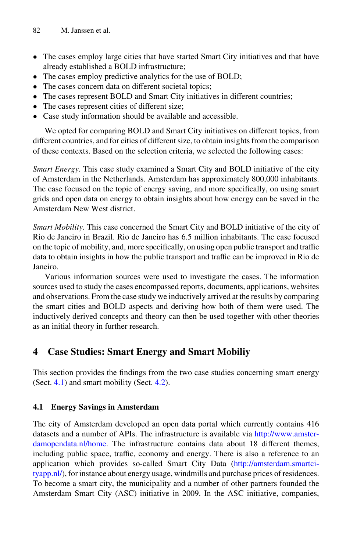- The cases employ large cities that have started Smart City initiatives and that have already established a BOLD infrastructure;
- The cases employ predictive analytics for the use of BOLD;
- The cases concern data on different societal topics;
- The cases represent BOLD and Smart City initiatives in different countries;
- The cases represent cities of different size;
- Case study information should be available and accessible.

We opted for comparing BOLD and Smart City initiatives on different topics, from different countries, and for cities of different size, to obtain insights from the comparison of these contexts. Based on the selection criteria, we selected the following cases:

*Smart Energy.* This case study examined a Smart City and BOLD initiative of the city of Amsterdam in the Netherlands. Amsterdam has approximately 800,000 inhabitants. The case focused on the topic of energy saving, and more specifically, on using smart grids and open data on energy to obtain insights about how energy can be saved in the Amsterdam New West district.

*Smart Mobility.* This case concerned the Smart City and BOLD initiative of the city of Rio de Janeiro in Brazil. Rio de Janeiro has 6.5 million inhabitants. The case focused on the topic of mobility, and, more specifically, on using open public transport and traffic data to obtain insights in how the public transport and traffic can be improved in Rio de Janeiro.

Various information sources were used to investigate the cases. The information sources used to study the cases encompassed reports, documents, applications, websites and observations. From the case study we inductively arrived at the results by comparing the smart cities and BOLD aspects and deriving how both of them were used. The inductively derived concepts and theory can then be used together with other theories as an initial theory in further research.

# **4 Case Studies: Smart Energy and Smart Mobiliy**

This section provides the findings from the two case studies concerning smart energy (Sect. 4.1) and smart mobility (Sect. [4.2\)](#page-4-0).

# **4.1 Energy Savings in Amsterdam**

The city of Amsterdam developed an open data portal which currently contains 416 datasets and a number of APIs. The infrastructure is available via http://www.amster[damopendata.nl/home](http://www.amsterdamopendata.nl/home). The infrastructure contains data about 18 different themes, including public space, traffic, economy and energy. There is also a reference to an application which provides so-called Smart City Data (http://amsterdam.smartci[tyapp.nl/\)](http://amsterdam.smartcityapp.nl/), for instance about energy usage, windmills and purchase prices of residences. To become a smart city, the municipality and a number of other partners founded the Amsterdam Smart City (ASC) initiative in 2009. In the ASC initiative, companies,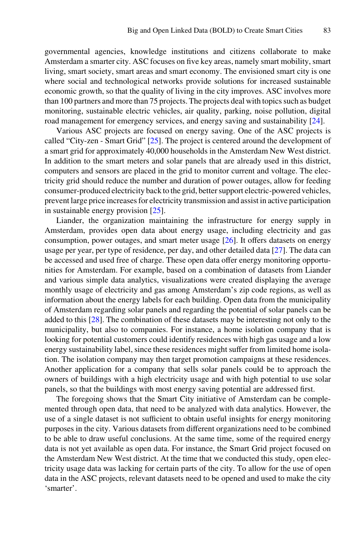<span id="page-4-0"></span>governmental agencies, knowledge institutions and citizens collaborate to make Amsterdam a smarter city. ASC focuses on five key areas, namely smart mobility, smart living, smart society, smart areas and smart economy. The envisioned smart city is one where social and technological networks provide solutions for increased sustainable economic growth, so that the quality of living in the city improves. ASC involves more than 100 partners and more than 75 projects. The projects deal with topics such as budget monitoring, sustainable electric vehicles, air quality, parking, noise pollution, digital road management for emergency services, and energy saving and sustainability [[24\]](#page-11-0).

Various ASC projects are focused on energy saving. One of the ASC projects is called "City-zen - Smart Grid" [\[25\]](#page-11-0). The project is centered around the development of a smart grid for approximately 40,000 households in the Amsterdam New West district. In addition to the smart meters and solar panels that are already used in this district, computers and sensors are placed in the grid to monitor current and voltage. The electricity grid should reduce the number and duration of power outages, allow for feeding consumer-produced electricity back to the grid, better support electric-powered vehicles, prevent large price increases for electricity transmission and assist in active participation in sustainable energy provision [\[25](#page-11-0)].

Liander, the organization maintaining the infrastructure for energy supply in Amsterdam, provides open data about energy usage, including electricity and gas consumption, power outages, and smart meter usage [[26\]](#page-11-0). It offers datasets on energy usage per year, per type of residence, per day, and other detailed data [\[27](#page-11-0)]. The data can be accessed and used free of charge. These open data offer energy monitoring opportunities for Amsterdam. For example, based on a combination of datasets from Liander and various simple data analytics, visualizations were created displaying the average monthly usage of electricity and gas among Amsterdam's zip code regions, as well as information about the energy labels for each building. Open data from the municipality of Amsterdam regarding solar panels and regarding the potential of solar panels can be added to this [\[28](#page-11-0)]. The combination of these datasets may be interesting not only to the municipality, but also to companies. For instance, a home isolation company that is looking for potential customers could identify residences with high gas usage and a low energy sustainability label, since these residences might suffer from limited home isolation. The isolation company may then target promotion campaigns at these residences. Another application for a company that sells solar panels could be to approach the owners of buildings with a high electricity usage and with high potential to use solar panels, so that the buildings with most energy saving potential are addressed first.

The foregoing shows that the Smart City initiative of Amsterdam can be complemented through open data, that need to be analyzed with data analytics. However, the use of a single dataset is not sufficient to obtain useful insights for energy monitoring purposes in the city. Various datasets from different organizations need to be combined to be able to draw useful conclusions. At the same time, some of the required energy data is not yet available as open data. For instance, the Smart Grid project focused on the Amsterdam New West district. At the time that we conducted this study, open elec‐ tricity usage data was lacking for certain parts of the city. To allow for the use of open data in the ASC projects, relevant datasets need to be opened and used to make the city 'smarter'.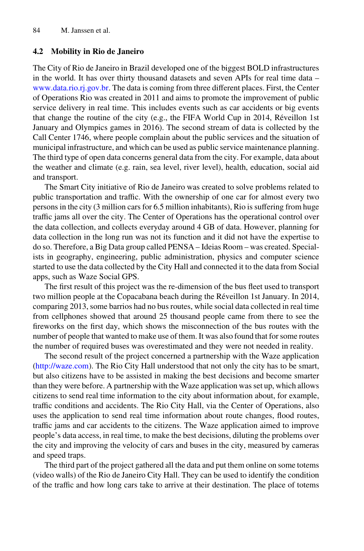#### **4.2 Mobility in Rio de Janeiro**

The City of Rio de Janeiro in Brazil developed one of the biggest BOLD infrastructures in the world. It has over thirty thousand datasets and seven APIs for real time data – [www.data.rio.rj.gov.br](http://www.data.rio.rj.gov.br). The data is coming from three different places. First, the Center of Operations Rio was created in 2011 and aims to promote the improvement of public service delivery in real time. This includes events such as car accidents or big events that change the routine of the city (e.g., the FIFA World Cup in 2014, Réveillon 1st January and Olympics games in 2016). The second stream of data is collected by the Call Center 1746, where people complain about the public services and the situation of municipal infrastructure, and which can be used as public service maintenance planning. The third type of open data concerns general data from the city. For example, data about the weather and climate (e.g. rain, sea level, river level), health, education, social aid and transport.

The Smart City initiative of Rio de Janeiro was created to solve problems related to public transportation and traffic. With the ownership of one car for almost every two persons in the city (3 million cars for 6.5 million inhabitants), Rio is suffering from huge traffic jams all over the city. The Center of Operations has the operational control over the data collection, and collects everyday around 4 GB of data. However, planning for data collection in the long run was not its function and it did not have the expertise to do so. Therefore, a Big Data group called PENSA – Ideias Room – was created. Special‐ ists in geography, engineering, public administration, physics and computer science started to use the data collected by the City Hall and connected it to the data from Social apps, such as Waze Social GPS.

The first result of this project was the re-dimension of the bus fleet used to transport two million people at the Copacabana beach during the Réveillon 1st January. In 2014, comparing 2013, some barrios had no bus routes, while social data collected in real time from cellphones showed that around 25 thousand people came from there to see the fireworks on the first day, which shows the misconnection of the bus routes with the number of people that wanted to make use of them. It was also found that for some routes the number of required buses was overestimated and they were not needed in reality.

The second result of the project concerned a partnership with the Waze application [\(http://waze.com](http://waze.com)). The Rio City Hall understood that not only the city has to be smart, but also citizens have to be assisted in making the best decisions and become smarter than they were before. A partnership with the Waze application was set up, which allows citizens to send real time information to the city about information about, for example, traffic conditions and accidents. The Rio City Hall, via the Center of Operations, also uses the application to send real time information about route changes, flood routes, traffic jams and car accidents to the citizens. The Waze application aimed to improve people's data access, in real time, to make the best decisions, diluting the problems over the city and improving the velocity of cars and buses in the city, measured by cameras and speed traps.

The third part of the project gathered all the data and put them online on some totems (video walls) of the Rio de Janeiro City Hall. They can be used to identify the condition of the traffic and how long cars take to arrive at their destination. The place of totems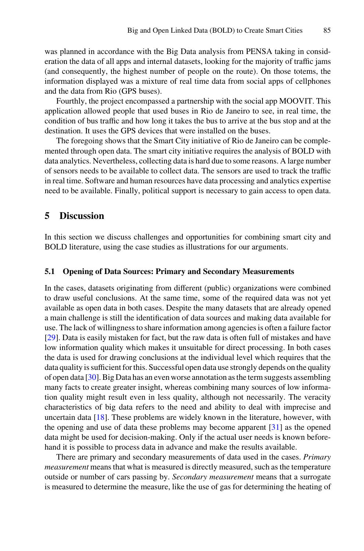was planned in accordance with the Big Data analysis from PENSA taking in consideration the data of all apps and internal datasets, looking for the majority of traffic jams (and consequently, the highest number of people on the route). On those totems, the information displayed was a mixture of real time data from social apps of cellphones and the data from Rio (GPS buses).

Fourthly, the project encompassed a partnership with the social app MOOVIT. This application allowed people that used buses in Rio de Janeiro to see, in real time, the condition of bus traffic and how long it takes the bus to arrive at the bus stop and at the destination. It uses the GPS devices that were installed on the buses.

The foregoing shows that the Smart City initiative of Rio de Janeiro can be complemented through open data. The smart city initiative requires the analysis of BOLD with data analytics. Nevertheless, collecting data is hard due to some reasons. A large number of sensors needs to be available to collect data. The sensors are used to track the traffic in real time. Software and human resources have data processing and analytics expertise need to be available. Finally, political support is necessary to gain access to open data.

### **5 Discussion**

In this section we discuss challenges and opportunities for combining smart city and BOLD literature, using the case studies as illustrations for our arguments.

#### **5.1 Opening of Data Sources: Primary and Secondary Measurements**

In the cases, datasets originating from different (public) organizations were combined to draw useful conclusions. At the same time, some of the required data was not yet available as open data in both cases. Despite the many datasets that are already opened a main challenge is still the identification of data sources and making data available for use. The lack of willingness to share information among agencies is often a failure factor [\[29](#page-11-0)]. Data is easily mistaken for fact, but the raw data is often full of mistakes and have low information quality which makes it unsuitable for direct processing. In both cases the data is used for drawing conclusions at the individual level which requires that the data quality is sufficient for this. Successful open data use strongly depends on the quality of open data [\[30](#page-11-0)]. Big Data has an even worse annotation as the term suggests assembling many facts to create greater insight, whereas combining many sources of low information quality might result even in less quality, although not necessarily. The veracity characteristics of big data refers to the need and ability to deal with imprecise and uncertain data [\[18](#page-11-0)]. These problems are widely known in the literature, however, with the opening and use of data these problems may become apparent [[31\]](#page-11-0) as the opened data might be used for decision-making. Only if the actual user needs is known before‐ hand it is possible to process data in advance and make the results available.

There are primary and secondary measurements of data used in the cases. *Primary measurement* means that what is measured is directly measured, such as the temperature outside or number of cars passing by. *Secondary measurement* means that a surrogate is measured to determine the measure, like the use of gas for determining the heating of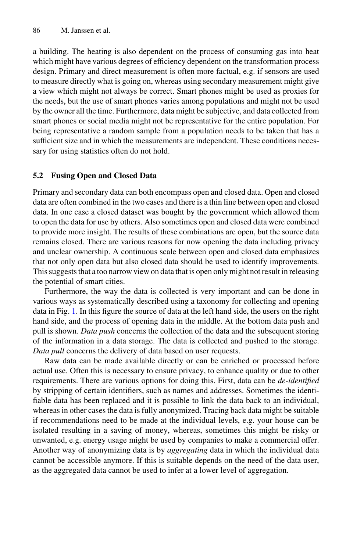a building. The heating is also dependent on the process of consuming gas into heat which might have various degrees of efficiency dependent on the transformation process design. Primary and direct measurement is often more factual, e.g. if sensors are used to measure directly what is going on, whereas using secondary measurement might give a view which might not always be correct. Smart phones might be used as proxies for the needs, but the use of smart phones varies among populations and might not be used by the owner all the time. Furthermore, data might be subjective, and data collected from smart phones or social media might not be representative for the entire population. For being representative a random sample from a population needs to be taken that has a sufficient size and in which the measurements are independent. These conditions necessary for using statistics often do not hold.

#### **5.2 Fusing Open and Closed Data**

Primary and secondary data can both encompass open and closed data. Open and closed data are often combined in the two cases and there is a thin line between open and closed data. In one case a closed dataset was bought by the government which allowed them to open the data for use by others. Also sometimes open and closed data were combined to provide more insight. The results of these combinations are open, but the source data remains closed. There are various reasons for now opening the data including privacy and unclear ownership. A continuous scale between open and closed data emphasizes that not only open data but also closed data should be used to identify improvements. This suggests that a too narrow view on data that is open only might not result in releasing the potential of smart cities.

Furthermore, the way the data is collected is very important and can be done in various ways as systematically described using a taxonomy for collecting and opening data in Fig. [1.](#page-8-0) In this figure the source of data at the left hand side, the users on the right hand side, and the process of opening data in the middle. At the bottom data push and pull is shown. *Data push* concerns the collection of the data and the subsequent storing of the information in a data storage. The data is collected and pushed to the storage. *Data pull* concerns the delivery of data based on user requests.

Raw data can be made available directly or can be enriched or processed before actual use. Often this is necessary to ensure privacy, to enhance quality or due to other requirements. There are various options for doing this. First, data can be *de-identified* by stripping of certain identifiers, such as names and addresses. Sometimes the identifiable data has been replaced and it is possible to link the data back to an individual, whereas in other cases the data is fully anonymized. Tracing back data might be suitable if recommendations need to be made at the individual levels, e.g. your house can be isolated resulting in a saving of money, whereas, sometimes this might be risky or unwanted, e.g. energy usage might be used by companies to make a commercial offer. Another way of anonymizing data is by *aggregating* data in which the individual data cannot be accessible anymore. If this is suitable depends on the need of the data user, as the aggregated data cannot be used to infer at a lower level of aggregation.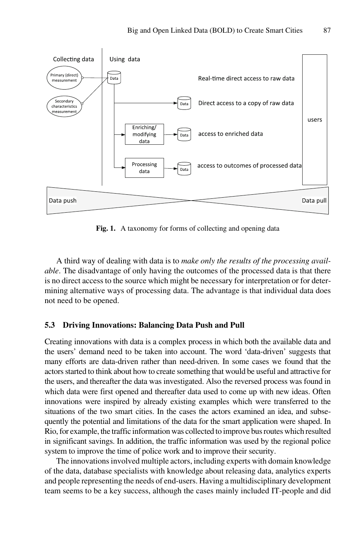<span id="page-8-0"></span>

**Fig. 1.** A taxonomy for forms of collecting and opening data

A third way of dealing with data is to *make only the results of the processing avail‐ able*. The disadvantage of only having the outcomes of the processed data is that there is no direct access to the source which might be necessary for interpretation or for deter‐ mining alternative ways of processing data. The advantage is that individual data does not need to be opened.

#### **5.3 Driving Innovations: Balancing Data Push and Pull**

Creating innovations with data is a complex process in which both the available data and the users' demand need to be taken into account. The word 'data-driven' suggests that many efforts are data-driven rather than need-driven. In some cases we found that the actors started to think about how to create something that would be useful and attractive for the users, and thereafter the data was investigated. Also the reversed process was found in which data were first opened and thereafter data used to come up with new ideas. Often innovations were inspired by already existing examples which were transferred to the situations of the two smart cities. In the cases the actors examined an idea, and subsequently the potential and limitations of the data for the smart application were shaped. In Rio, for example, the traffic information was collected to improve bus routes which resulted in significant savings. In addition, the traffic information was used by the regional police system to improve the time of police work and to improve their security.

The innovations involved multiple actors, including experts with domain knowledge of the data, database specialists with knowledge about releasing data, analytics experts and people representing the needs of end-users. Having a multidisciplinary development team seems to be a key success, although the cases mainly included IT-people and did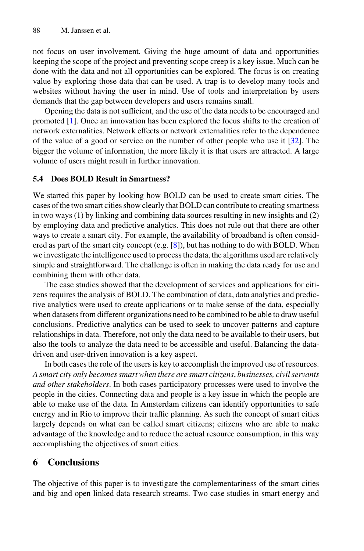not focus on user involvement. Giving the huge amount of data and opportunities keeping the scope of the project and preventing scope creep is a key issue. Much can be done with the data and not all opportunities can be explored. The focus is on creating value by exploring those data that can be used. A trap is to develop many tools and websites without having the user in mind. Use of tools and interpretation by users demands that the gap between developers and users remains small.

Opening the data is not sufficient, and the use of the data needs to be encouraged and promoted [[1\]](#page-10-0). Once an innovation has been explored the focus shifts to the creation of network externalities. Network effects or network externalities refer to the dependence of the value of a good or service on the number of other people who use it [\[32](#page-11-0)]. The bigger the volume of information, the more likely it is that users are attracted. A large volume of users might result in further innovation.

#### **5.4 Does BOLD Result in Smartness?**

We started this paper by looking how BOLD can be used to create smart cities. The cases of the two smart cities show clearly that BOLD can contribute to creating smartness in two ways (1) by linking and combining data sources resulting in new insights and (2) by employing data and predictive analytics. This does not rule out that there are other ways to create a smart city. For example, the availability of broadband is often considerered as part of the smart city concept (e.g. [\[8](#page-10-0)]), but has nothing to do with BOLD. When we investigate the intelligence used to process the data, the algorithms used are relatively simple and straightforward. The challenge is often in making the data ready for use and combining them with other data.

The case studies showed that the development of services and applications for citizens requires the analysis of BOLD. The combination of data, data analytics and predic‐ tive analytics were used to create applications or to make sense of the data, especially when datasets from different organizations need to be combined to be able to draw useful conclusions. Predictive analytics can be used to seek to uncover patterns and capture relationships in data. Therefore, not only the data need to be available to their users, but also the tools to analyze the data need to be accessible and useful. Balancing the datadriven and user-driven innovation is a key aspect.

In both cases the role of the users is key to accomplish the improved use of resources. *A smart city only becomes smart when there are smart citizens*, *businesses, civil servants and other stakeholders*. In both cases participatory processes were used to involve the people in the cities. Connecting data and people is a key issue in which the people are able to make use of the data. In Amsterdam citizens can identify opportunities to safe energy and in Rio to improve their traffic planning. As such the concept of smart cities largely depends on what can be called smart citizens; citizens who are able to make advantage of the knowledge and to reduce the actual resource consumption, in this way accomplishing the objectives of smart cities.

# **6 Conclusions**

The objective of this paper is to investigate the complementariness of the smart cities and big and open linked data research streams. Two case studies in smart energy and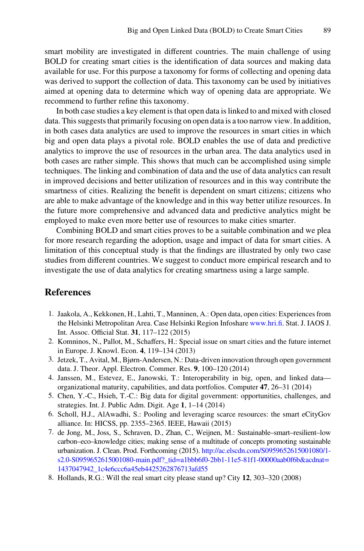<span id="page-10-0"></span>smart mobility are investigated in different countries. The main challenge of using BOLD for creating smart cities is the identification of data sources and making data available for use. For this purpose a taxonomy for forms of collecting and opening data was derived to support the collection of data. This taxonomy can be used by initiatives aimed at opening data to determine which way of opening data are appropriate. We recommend to further refine this taxonomy.

In both case studies a key element is that open data is linked to and mixed with closed data. This suggests that primarily focusing on open data is a too narrow view. In addition, in both cases data analytics are used to improve the resources in smart cities in which big and open data plays a pivotal role. BOLD enables the use of data and predictive analytics to improve the use of resources in the urban area. The data analytics used in both cases are rather simple. This shows that much can be accomplished using simple techniques. The linking and combination of data and the use of data analytics can result in improved decisions and better utilization of resources and in this way contribute the smartness of cities. Realizing the benefit is dependent on smart citizens; citizens who are able to make advantage of the knowledge and in this way better utilize resources. In the future more comprehensive and advanced data and predictive analytics might be employed to make even more better use of resources to make cities smarter.

Combining BOLD and smart cities proves to be a suitable combination and we plea for more research regarding the adoption, usage and impact of data for smart cities. A limitation of this conceptual study is that the findings are illustrated by only two case studies from different countries. We suggest to conduct more empirical research and to investigate the use of data analytics for creating smartness using a large sample.

## **References**

- 1. Jaakola, A., Kekkonen, H., Lahti, T., Manninen, A.: Open data, open cities: Experiences from the Helsinki Metropolitan Area. Case Helsinki Region Infoshare [www.hri.fi.](http://www.hri.fi) Stat. J. IAOS J. Int. Assoc. Official Stat. **31**, 117–122 (2015)
- 2. Komninos, N., Pallot, M., Schaffers, H.: Special issue on smart cities and the future internet in Europe. J. Knowl. Econ. **4**, 119–134 (2013)
- 3. Jetzek, T., Avital, M., Bjørn-Andersen, N.: Data-driven innovation through open government data. J. Theor. Appl. Electron. Commer. Res. **9**, 100–120 (2014)
- 4. Janssen, M., Estevez, E., Janowski, T.: Interoperability in big, open, and linked data organizational maturity, capabilities, and data portfolios. Computer **47**, 26–31 (2014)
- 5. Chen, Y.-C., Hsieh, T.-C.: Big data for digital government: opportunities, challenges, and strategies. Int. J. Public Adm. Digit. Age **1**, 1–14 (2014)
- 6. Scholl, H.J., AlAwadhi, S.: Pooling and leveraging scarce resources: the smart eCityGov alliance. In: HICSS, pp. 2355–2365. IEEE, Hawaii (2015)
- 7. de Jong, M., Joss, S., Schraven, D., Zhan, C., Weijnen, M.: Sustainable–smart–resilient–low carbon–eco–knowledge cities; making sense of a multitude of concepts promoting sustainable urbanization. J. Clean. Prod. Forthcoming (2015). [http://ac.elscdn.com/S0959652615001080/1](http://ac.elscdn.com/S0959652615001080/1-s2.0-S0959652615001080-main.pdf?_tid=a1bbb6f0-2bb1-11e5-81f1-00000aab0f6b&acdnat=1437047942_1c4e6ccc6a45eb4425262876713afd55) [s2.0-S0959652615001080-main.pdf?\\_tid=a1bbb6f0-2bb1-11e5-81f1-00000aab0f6b&acdnat=](http://ac.elscdn.com/S0959652615001080/1-s2.0-S0959652615001080-main.pdf?_tid=a1bbb6f0-2bb1-11e5-81f1-00000aab0f6b&acdnat=1437047942_1c4e6ccc6a45eb4425262876713afd55) [1437047942\\_1c4e6ccc6a45eb4425262876713afd55](http://ac.elscdn.com/S0959652615001080/1-s2.0-S0959652615001080-main.pdf?_tid=a1bbb6f0-2bb1-11e5-81f1-00000aab0f6b&acdnat=1437047942_1c4e6ccc6a45eb4425262876713afd55)
- 8. Hollands, R.G.: Will the real smart city please stand up? City **12**, 303–320 (2008)